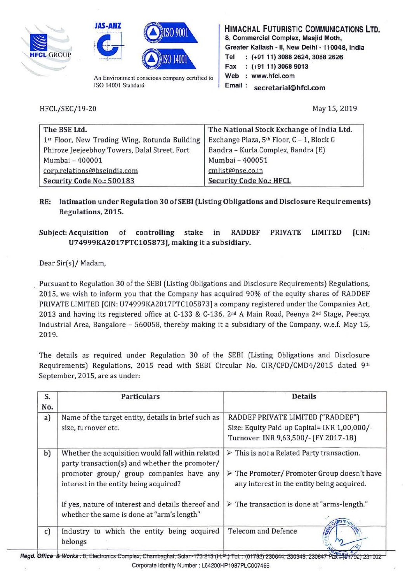





An Environment conscious company certified to ISO 14001 Standard

HIMACHAL FUTURISTIC COMMUNICATIONS **LTD.**  8, Commercial Complex, Masjid Moth, Greater Kailash - II, New Delhi - 110048, India Tel : (+91 11) 3088 2624, 3088 2626 Fax (+91 11) 3068 9013 Web : www.hfcl.com Email : secretarial@hfcl.com

HFCL/SEC/19-20

May 15, 2019

| The BSE Ltd.                                  | The National Stock Exchange of India Ltd. |  |
|-----------------------------------------------|-------------------------------------------|--|
| 1st Floor, New Trading Wing, Rotunda Building | Exchange Plaza, 5th Floor, C - 1, Block G |  |
| Phiroze Jeejeebhoy Towers, Dalal Street, Fort | Bandra - Kurla Complex, Bandra (E)        |  |
| Mumbai - 400001                               | Mumbai - 400051                           |  |
| corp.relations@bseindia.com                   | cmlist@nse.co.in                          |  |
| Security Code No.: 500183                     | <b>Security Code No.: HFCL</b>            |  |

RE: Intimation under Regulation 30 of SEBI (Listing Obligations and Disclosure Requirements) Regulations, 2015.

## Subject: Acquisition of controlling stake in RADDEF PRIVATE LIMITED (CIN: U74999KA2017PTC105B73], making it a subsidiary.

Dear Sir(s)/ Madam,

Pursuant to Regulation 30 of the SEBI (Listing Obligations and Disclosure Requirements) Regulations, 2015, we wish to inform you that the Company has acquired 90% of the equity shares of RADDEF PRIVATE LIMITED [CIN: U74999KA2017PTC105873) a company registered under the Companies Act, 2013 and having its registered office at C-133 & C-136, 2<sup>nd</sup> A Main Road, Peenya 2<sup>nd</sup> Stage, Peenya Industrial Area, Bangalore - 560058, thereby making it a subsidiary of the Company, w.e.f. May 15, 2019.

The details as required under Regulation 30 of the SEBI (Listing Obligations and Disclosure Requirements) Regulations, 2015 read with SEBI Circular No. CIR/CFD/CMD4/2015 dated 9th September, 2015, are as under:

| S.<br>No.    | <b>Particulars</b>                                                                                                                                                                        | <b>Details</b>                                                                                                                                                        |
|--------------|-------------------------------------------------------------------------------------------------------------------------------------------------------------------------------------------|-----------------------------------------------------------------------------------------------------------------------------------------------------------------------|
| a)           | Name of the target entity, details in brief such as<br>size, turnover etc.                                                                                                                | RADDEF PRIVATE LIMITED ("RADDEF")<br>Size: Equity Paid-up Capital= INR 1,00,000/-<br>Turnover: INR 9,63,500/- (FY 2017-18)                                            |
| b)           | Whether the acquisition would fall within related<br>party transaction(s) and whether the promoter/<br>promoter group/ group companies have any<br>interest in the entity being acquired? | $\triangleright$ This is not a Related Party transaction.<br>$\triangleright$ The Promoter/ Promoter Group doesn't have<br>any interest in the entity being acquired. |
|              | If yes, nature of interest and details thereof and<br>whether the same is done at "arm's length"                                                                                          | $\triangleright$ The transaction is done at "arms-length."                                                                                                            |
| $\mathbf{c}$ | Industry to which the entity being acquired<br>belongs                                                                                                                                    | <b>Telecom and Defence</b><br><b>TSULLE</b>                                                                                                                           |

Regd. Office & Works : 8, Electronics Complex, Chambaghat, Solan-173 213 (H.P.) Tel.: (01792) 230644, 230645, 230647 Fax:(UH792) 231902 Corporate Identity Number : L64200HP1987PLC007466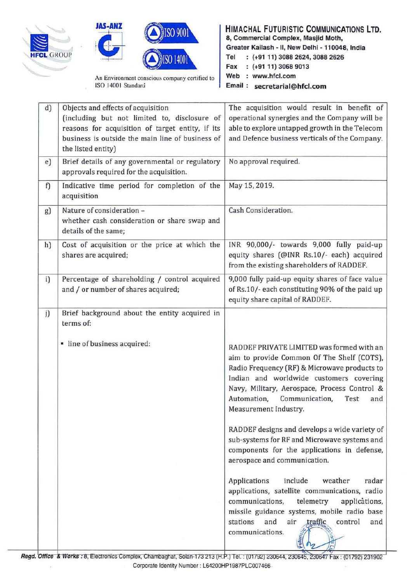





An Environment conscious company certified to ISO 14001 Standard

## HIMACHAL FUTURISTIC COMMUNICATIONS **LTD.**  8, Commercial Complex, Masjid Moth, Greater Kailash - II, New Delhi - 110048, India Tel (+91 11) 3088 2624, 3088 2626 Fax : (+91 11) 3068 9013 Web : www.hfcl.com Email : secretarial@hfcl.com

| d) | Objects and effects of acquisition<br>(including but not limited to, disclosure of<br>reasons for acquisition of target entity, if its<br>business is outside the main line of business of<br>the listed entity) | The acquisition would result in benefit of<br>operational synergies and the Company will be<br>able to explore untapped growth in the Telecom<br>and Defence business verticals of the Company.                                                                                                                                                                                                                                                                                                                                                                                                                                                                                                                                                            |
|----|------------------------------------------------------------------------------------------------------------------------------------------------------------------------------------------------------------------|------------------------------------------------------------------------------------------------------------------------------------------------------------------------------------------------------------------------------------------------------------------------------------------------------------------------------------------------------------------------------------------------------------------------------------------------------------------------------------------------------------------------------------------------------------------------------------------------------------------------------------------------------------------------------------------------------------------------------------------------------------|
| e) | Brief details of any governmental or regulatory<br>approvals required for the acquisition.                                                                                                                       | No approval required.                                                                                                                                                                                                                                                                                                                                                                                                                                                                                                                                                                                                                                                                                                                                      |
| f) | Indicative time period for completion of the<br>acquisition                                                                                                                                                      | May 15, 2019.                                                                                                                                                                                                                                                                                                                                                                                                                                                                                                                                                                                                                                                                                                                                              |
| g) | Nature of consideration -<br>whether cash consideration or share swap and<br>details of the same;                                                                                                                | Cash Consideration.                                                                                                                                                                                                                                                                                                                                                                                                                                                                                                                                                                                                                                                                                                                                        |
| h) | Cost of acquisition or the price at which the<br>shares are acquired;                                                                                                                                            | INR 90,000/- towards 9,000 fully paid-up<br>equity shares (@INR Rs.10/- each) acquired<br>from the existing shareholders of RADDEF.                                                                                                                                                                                                                                                                                                                                                                                                                                                                                                                                                                                                                        |
| i) | Percentage of shareholding / control acquired<br>and / or number of shares acquired;                                                                                                                             | 9,000 fully paid-up equity shares of face value<br>of Rs.10/- each constituting 90% of the paid up<br>equity share capital of RADDEF.                                                                                                                                                                                                                                                                                                                                                                                                                                                                                                                                                                                                                      |
| j) | Brief background about the entity acquired in<br>terms of:<br>· line of business acquired:                                                                                                                       | RADDEF PRIVATE LIMITED was formed with an<br>aim to provide Common Of The Shelf (COTS),<br>Radio Frequency (RF) & Microwave products to<br>Indian and worldwide customers covering<br>Navy, Military, Aerospace, Process Control &<br>Automation,<br>Communication,<br>Test<br>and<br>Measurement Industry.<br>RADDEF designs and develops a wide variety of<br>sub-systems for RF and Microwave systems and<br>components for the applications in defense,<br>aerospace and communication.<br>include<br>Applications<br>weather<br>radar<br>applications, satellite communications, radio<br>telemetry<br>communications,<br>applications,<br>missile guidance systems, mobile radio base<br>stations<br>and<br>control<br>air<br>and<br>communications. |

i , المال المسلم المسلم بن المسلم ين المسلم بن المسلم بن المسلم بن المسلم بن المسلم بن المسلم بن المسلم بن المس<br>Regd. Office & Works : 8, Electronics Complex, Chambaghat, Solan-173 213 (H.P.) Tel. : (01792) 230644, 230645 Corporate Identity Number : L64200HP1987PLC007466